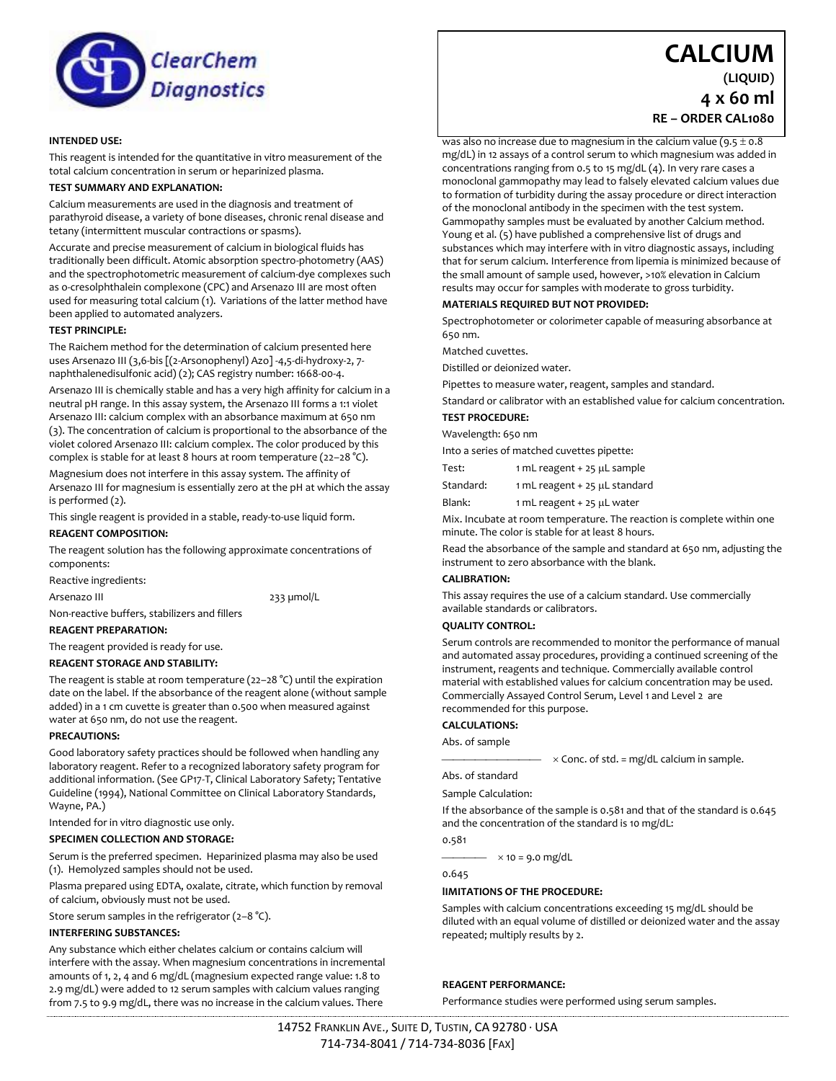

#### **INTENDED USE:**

This reagent is intended for the quantitative in vitro measurement of the total calcium concentration in serum or heparinized plasma.

#### **TEST SUMMARY AND EXPLANATION:**

Calcium measurements are used in the diagnosis and treatment of parathyroid disease, a variety of bone diseases, chronic renal disease and tetany (intermittent muscular contractions or spasms).

Accurate and precise measurement of calcium in biological fluids has traditionally been difficult. Atomic absorption spectro-photometry (AAS) and the spectrophotometric measurement of calcium-dye complexes such as o-cresolphthalein complexone (CPC) and Arsenazo III are most often used for measuring total calcium (1). Variations of the latter method have been applied to automated analyzers.

## **TEST PRINCIPLE:**

The Raichem method for the determination of calcium presented here uses Arsenazo III (3,6-bis [(2-Arsonophenyl) Azo] -4,5-di-hydroxy-2, 7 naphthalenedisulfonic acid) (2); CAS registry number: 1668-00-4.

Arsenazo III is chemically stable and has a very high affinity for calcium in a neutral pH range. In this assay system, the Arsenazo III forms a 1:1 violet Arsenazo III: calcium complex with an absorbance maximum at 650 nm (3). The concentration of calcium is proportional to the absorbance of the violet colored Arsenazo III: calcium complex. The color produced by this complex is stable for at least 8 hours at room temperature (22–28 °C).

Magnesium does not interfere in this assay system. The affinity of Arsenazo III for magnesium is essentially zero at the pH at which the assay is performed (2).

This single reagent is provided in a stable, ready-to-use liquid form.

#### **REAGENT COMPOSITION:**

The reagent solution has the following approximate concentrations of components:

Reactive ingredients:

Arsenazo III 233 µmol/L

Non-reactive buffers, stabilizers and fillers

#### **REAGENT PREPARATION:**

The reagent provided is ready for use.

# **REAGENT STORAGE AND STABILITY:**

The reagent is stable at room temperature (22–28 °C) until the expiration date on the label. If the absorbance of the reagent alone (without sample added) in a 1 cm cuvette is greater than 0.500 when measured against water at 650 nm, do not use the reagent.

#### **PRECAUTIONS:**

Good laboratory safety practices should be followed when handling any laboratory reagent. Refer to a recognized laboratory safety program for additional information. (See GP17-T, Clinical Laboratory Safety; Tentative Guideline (1994), National Committee on Clinical Laboratory Standards, Wayne, PA.)

Intended for in vitro diagnostic use only.

## **SPECIMEN COLLECTION AND STORAGE:**

Serum is the preferred specimen. Heparinized plasma may also be used (1). Hemolyzed samples should not be used.

Plasma prepared using EDTA, oxalate, citrate, which function by removal of calcium, obviously must not be used.

Store serum samples in the refrigerator (2–8 °C).

## **INTERFERING SUBSTANCES:**

Any substance which either chelates calcium or contains calcium will interfere with the assay. When magnesium concentrations in incremental amounts of 1, 2, 4 and 6 mg/dL (magnesium expected range value: 1.8 to 2.9 mg/dL) were added to 12 serum samples with calcium values ranging from 7.5 to 9.9 mg/dL, there was no increase in the calcium values. There

**4 x 60 ml RE – ORDER CAL1080** was also no increase due to magnesium in the calcium value  $(9.5 \pm 0.8)$ mg/dL) in 12 assays of a control serum to which magnesium was added in concentrations ranging from 0.5 to 15 mg/dL (4). In very rare cases a monoclonal gammopathy may lead to falsely elevated calcium values due to formation of turbidity during the assay procedure or direct interaction of the monoclonal antibody in the specimen with the test system.

Gammopathy samples must be evaluated by another Calcium method. Young et al. (5) have published a comprehensive list of drugs and substances which may interfere with in vitro diagnostic assays, including that for serum calcium. Interference from lipemia is minimized because of the small amount of sample used, however, >10% elevation in Calcium results may occur for samples with moderate to gross turbidity.

#### **MATERIALS REQUIRED BUT NOT PROVIDED:**

Spectrophotometer or colorimeter capable of measuring absorbance at 650 nm.

Matched cuvettes.

Distilled or deionized water.

Pipettes to measure water, reagent, samples and standard.

Standard or calibrator with an established value for calcium concentration.

#### **TEST PROCEDURE:**

Wavelength: 650 nm

Into a series of matched cuvettes pipette:

| Test:     | 1 mL reagent + 25 µL sample   |
|-----------|-------------------------------|
| Standard: | 1 mL reagent + 25 µL standard |
| Blank:    | 1 mL reagent + 25 µL water    |

Mix. Incubate at room temperature. The reaction is complete within one minute. The color is stable for at least 8 hours.

Read the absorbance of the sample and standard at 650 nm, adjusting the instrument to zero absorbance with the blank.

#### **CALIBRATION:**

This assay requires the use of a calcium standard. Use commercially available standards or calibrators.

#### **QUALITY CONTROL:**

Serum controls are recommended to monitor the performance of manual and automated assay procedures, providing a continued screening of the instrument, reagents and technique. Commercially available control material with established values for calcium concentration may be used. Commercially Assayed Control Serum, Level 1 and Level 2 are recommended for this purpose.

#### **CALCULATIONS:**

Abs. of sample

 $\times$  Conc. of std. = mg/dL calcium in sample.

Abs. of standard

Sample Calculation:

If the absorbance of the sample is 0.581 and that of the standard is 0.645 and the concentration of the standard is 10 mg/dL:

0.581

 $- x 10 = 9.0$  mg/dL

0.645

#### **lIMITATIONS OF THE PROCEDURE:**

Samples with calcium concentrations exceeding 15 mg/dL should be diluted with an equal volume of distilled or deionized water and the assay repeated; multiply results by 2.

## **REAGENT PERFORMANCE:**

Performance studies were performed using serum samples.

# **CALCIUM (LIQUID)**